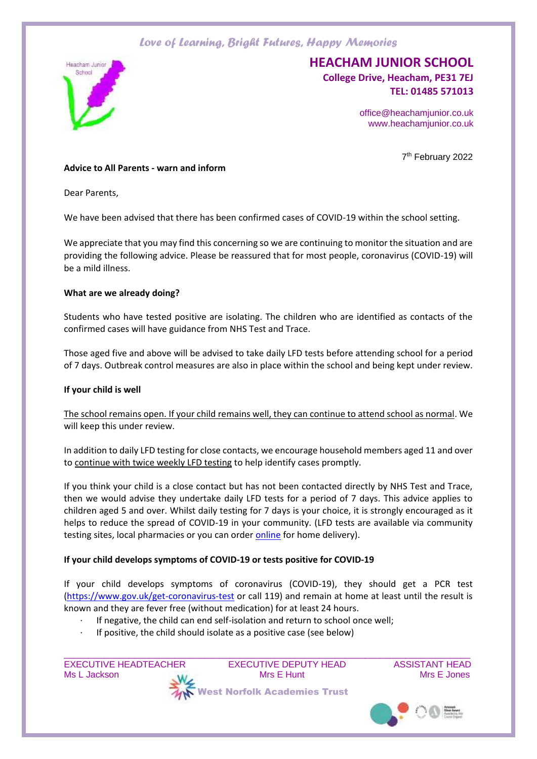

# **HEACHAM JUNIOR SCHOOL**

**College Drive, Heacham, PE31 7EJ TEL: 01485 571013** 

> office@heachamjunior.co.uk www.heachamjunior.co.uk

> > 7 th February 2022

### **Advice to All Parents - warn and inform**

Dear Parents,

We have been advised that there has been confirmed cases of COVID-19 within the school setting.

We appreciate that you may find this concerning so we are continuing to monitor the situation and are providing the following advice. Please be reassured that for most people, coronavirus (COVID-19) will be a mild illness.

#### **What are we already doing?**

Students who have tested positive are isolating. The children who are identified as contacts of the confirmed cases will have guidance from NHS Test and Trace.

Those aged five and above will be advised to take daily LFD tests before attending school for a period of 7 days. Outbreak control measures are also in place within the school and being kept under review.

#### **If your child is well**

The school remains open. If your child remains well, they can continue to attend school as normal. We will keep this under review.

In addition to daily LFD testing for close contacts, we encourage household members aged 11 and over to continue with twice weekly LFD testing to help identify cases promptly.

If you think your child is a close contact but has not been contacted directly by NHS Test and Trace, then we would advise they undertake daily LFD tests for a period of 7 days. This advice applies to children aged 5 and over. Whilst daily testing for 7 days is your choice, it is strongly encouraged as it helps to reduce the spread of COVID-19 in your community. (LFD tests are available via community testing sites, local pharmacies or you can order [online](https://www.gov.uk/order-coronavirus-rapid-lateral-flow-tests) for home delivery).

#### **If your child develops symptoms of COVID-19 or tests positive for COVID-19**

If your child develops symptoms of coronavirus (COVID-19), they should get a PCR test [\(https://www.gov.uk/get-coronavirus-test](https://www.gov.uk/get-coronavirus-test) or call 119) and remain at home at least until the result is known and they are fever free (without medication) for at least 24 hours.

 $\_$  , and the set of the set of the set of the set of the set of the set of the set of the set of the set of the set of the set of the set of the set of the set of the set of the set of the set of the set of the set of th

- · If negative, the child can end self-isolation and return to school once well;
- If positive, the child should isolate as a positive case (see below)

EXECUTIVE HEADTEACHER EXECUTIVE DEPUTY HEAD ASSISTANT HEAD Ms L Jackson **Mrs Hunt** Mrs E Hunt Mrs E Hunt Mrs E Jones West Norfolk Academies Trust

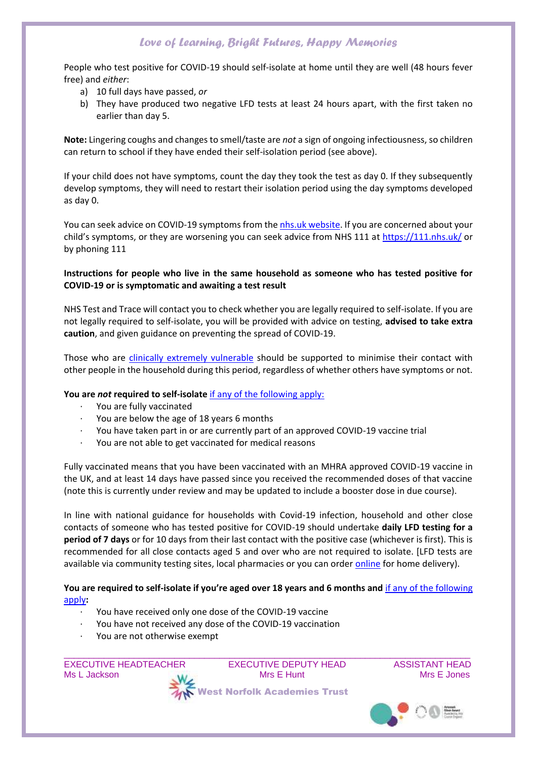People who test positive for COVID-19 should self-isolate at home until they are well (48 hours fever free) and *either*:

- a) 10 full days have passed, *or*
- b) They have produced two negative LFD tests at least 24 hours apart, with the first taken no earlier than day 5.

**Note:** Lingering coughs and changes to smell/taste are *not* a sign of ongoing infectiousness, so children can return to school if they have ended their self-isolation period (see above).

If your child does not have symptoms, count the day they took the test as day 0. If they subsequently develop symptoms, they will need to restart their isolation period using the day symptoms developed as day 0.

You can seek advice on COVID-19 symptoms from th[e nhs.uk website.](https://www.nhs.uk/conditions/coronavirus-covid-19/check-if-you-have-coronavirus-symptoms/) If you are concerned about your child's symptoms, or they are worsening you can seek advice from NHS 111 at<https://111.nhs.uk/> or by phoning 111

## **Instructions for people who live in the same household as someone who has tested positive for COVID-19 or is symptomatic and awaiting a test result**

NHS Test and Trace will contact you to check whether you are legally required to self-isolate. If you are not legally required to self-isolate, you will be provided with advice on testing, **advised to take extra caution**, and given guidance on preventing the spread of COVID-19.

Those who are [clinically extremely vulnerable](https://www.gov.uk/government/publications/guidance-on-shielding-and-protecting-extremely-vulnerable-persons-from-covid-19/guidance-on-shielding-and-protecting-extremely-vulnerable-persons-from-covid-19) should be supported to minimise their contact with other people in the household during this period, regardless of whether others have symptoms or not.

## **You are** *not* **required to self-isolate** [if any of the following apply:](https://www.gov.uk/government/publications/covid-19-stay-at-home-guidance/stay-at-home-guidance-for-households-with-possible-coronavirus-covid-19-infection#exempt)

- · You are fully vaccinated
- You are below the age of 18 years 6 months
- · You have taken part in or are currently part of an approved COVID-19 vaccine trial
- You are not able to get vaccinated for medical reasons

Fully vaccinated means that you have been vaccinated with an MHRA approved COVID-19 vaccine in the UK, and at least 14 days have passed since you received the recommended doses of that vaccine (note this is currently under review and may be updated to include a booster dose in due course).

In line with national guidance for households with Covid-19 infection, household and other close contacts of someone who has tested positive for COVID-19 should undertake **daily LFD testing for a period of 7 days** or for 10 days from their last contact with the positive case (whichever is first). This is recommended for all close contacts aged 5 and over who are not required to isolate. [LFD tests are available via community testing sites, local pharmacies or you can order [online](https://www.gov.uk/order-coronavirus-rapid-lateral-flow-tests) for home delivery).

**You are required to self-isolate if you're aged over 18 years and 6 months and** [if any of the following](https://www.nhs.uk/conditions/coronavirus-covid-19/self-isolation-and-treatment/when-to-self-isolate-and-what-to-do/)  [apply](https://www.nhs.uk/conditions/coronavirus-covid-19/self-isolation-and-treatment/when-to-self-isolate-and-what-to-do/)**:**

- · You have received only one dose of the COVID-19 vaccine
- · You have not received any dose of the COVID-19 vaccination
- You are not otherwise exempt

EXECUTIVE HEADTEACHER EXECUTIVE DEPUTY HEAD ASSISTANT HEAD Ms L Jackson **Mrs Hunt** Mrs E Hunt Mrs E Hunt Mrs E Jones West Norfolk Academies Trust

 $\_$  , and the set of the set of the set of the set of the set of the set of the set of the set of the set of the set of the set of the set of the set of the set of the set of the set of the set of the set of the set of th

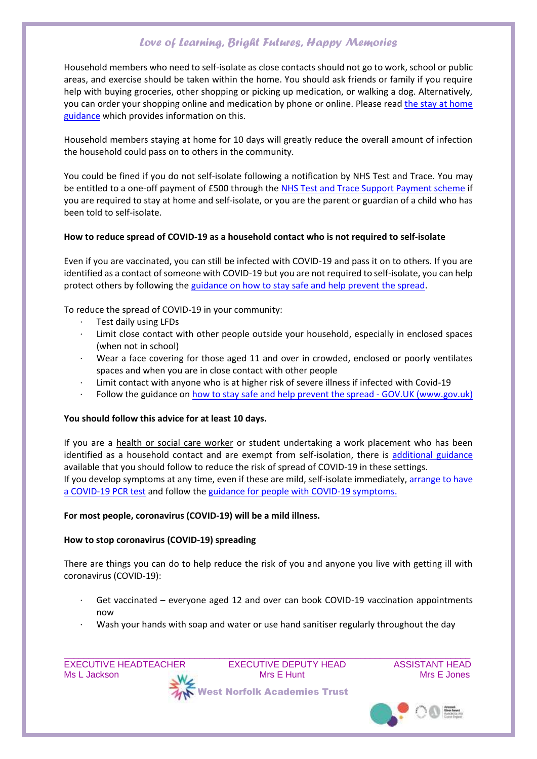Household members who need to self-isolate as close contacts should not go to work, school or public areas, and exercise should be taken within the home. You should ask friends or family if you require help with buying groceries, other shopping or picking up medication, or walking a dog. Alternatively, you can order your shopping online and medication by phone or online. Please read [the stay at home](https://www.gov.uk/government/publications/covid-19-stay-at-home-guidance/stay-at-home-guidance-for-households-with-possible-coronavirus-covid-19-infection)  [guidance](https://www.gov.uk/government/publications/covid-19-stay-at-home-guidance/stay-at-home-guidance-for-households-with-possible-coronavirus-covid-19-infection) which provides information on this.

Household members staying at home for 10 days will greatly reduce the overall amount of infection the household could pass on to others in the community.

You could be fined if you do not self-isolate following a notification by NHS Test and Trace. You may be entitled to a one-off payment of £500 through the [NHS Test and Trace Support Payment scheme](https://www.gov.uk/government/publications/test-and-trace-support-payment-scheme-claiming-financial-support/claiming-financial-support-under-the-test-and-trace-support-payment-scheme) if you are required to stay at home and self-isolate, or you are the parent or guardian of a child who has been told to self-isolate.

### **How to reduce spread of COVID-19 as a household contact who is not required to self-isolate**

Even if you are vaccinated, you can still be infected with COVID-19 and pass it on to others. If you are identified as a contact of someone with COVID-19 but you are not required to self-isolate, you can help protect others by following the [guidance on how to stay safe and help prevent the spread.](https://www.gov.uk/guidance/covid-19-coronavirus-restrictions-what-you-can-and-cannot-do#keeping-yourself-and-others-safe)

To reduce the spread of COVID-19 in your community:

- Test daily using LFDs
- Limit close contact with other people outside your household, especially in enclosed spaces (when not in school)
- · Wear a face covering for those aged 11 and over in crowded, enclosed or poorly ventilates spaces and when you are in close contact with other people
- Limit contact with anyone who is at higher risk of severe illness if infected with Covid-19
- Follow the guidance on [how to stay safe and help prevent the spread -](https://www.gov.uk/guidance/covid-19-coronavirus-restrictions-what-you-can-and-cannot-do#keeping-yourself-and-others-safe) GOV.UK (www.gov.uk)

## **You should follow this advice for at least 10 days.**

If you are a health or social care worker or student undertaking a work placement who has been identified as a household contact and are exempt from self-isolation, there is [additional guidance](https://www.gov.uk/government/publications/covid-19-management-of-exposed-healthcare-workers-and-patients-in-hospital-settings/covid-19-management-of-exposed-healthcare-workers-and-patients-in-hospital-settings) available that you should follow to reduce the risk of spread of COVID-19 in these settings. If you develop symptoms at any time, even if these are mild, self-isolate immediately, [arrange to have](https://www.gov.uk/get-coronavirus-test)  [a COVID-19 PCR test](https://www.gov.uk/get-coronavirus-test) and follow the [guidance for people with COVID-19 symptoms.](https://www.gov.uk/government/publications/covid-19-stay-at-home-guidance/stay-at-home-guidance-for-households-with-possible-coronavirus-covid-19-infection#SymptomsPositiveTest)

#### **For most people, coronavirus (COVID-19) will be a mild illness.**

#### **How to stop coronavirus (COVID-19) spreading**

There are things you can do to help reduce the risk of you and anyone you live with getting ill with coronavirus (COVID-19):

- Get vaccinated everyone aged 12 and over can book COVID-19 vaccination appointments now
- · Wash your hands with soap and water or use hand sanitiser regularly throughout the day

 $\_$  , and the set of the set of the set of the set of the set of the set of the set of the set of the set of the set of the set of the set of the set of the set of the set of the set of the set of the set of the set of th

EXECUTIVE HEADTEACHER EXECUTIVE DEPUTY HEAD ASSISTANT HEAD Ms L Jackson **Mrs Hunt** Mrs E Hunt Mrs E Hunt Mrs E Jones West Norfolk Academies Trust